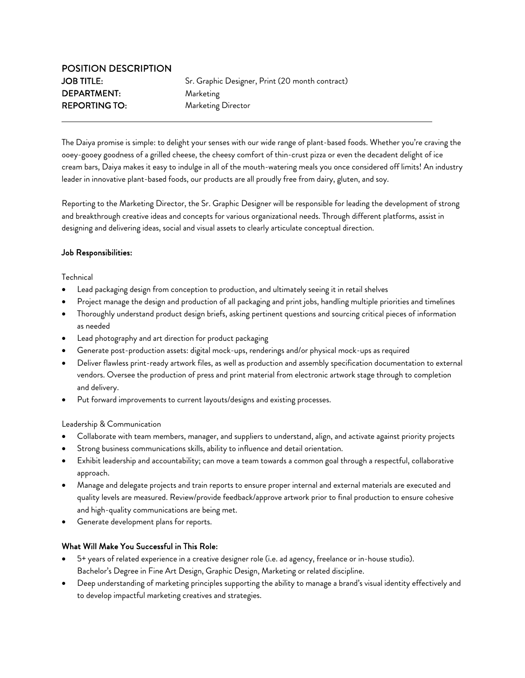The Daiya promise is simple: to delight your senses with our wide range of plant-based foods. Whether you're craving the ooey-gooey goodness of a grilled cheese, the cheesy comfort of thin-crust pizza or even the decadent delight of ice cream bars, Daiya makes it easy to indulge in all of the mouth-watering meals you once considered off limits! An industry leader in innovative plant-based foods, our products are all proudly free from dairy, gluten, and soy.

Reporting to the Marketing Director, the Sr. Graphic Designer will be responsible for leading the development of strong and breakthrough creative ideas and concepts for various organizational needs. Through different platforms, assist in designing and delivering ideas, social and visual assets to clearly articulate conceptual direction.

## Job Responsibilities:

**Technical** 

l

- Lead packaging design from conception to production, and ultimately seeing it in retail shelves
- Project manage the design and production of all packaging and print jobs, handling multiple priorities and timelines
- Thoroughly understand product design briefs, asking pertinent questions and sourcing critical pieces of information as needed
- Lead photography and art direction for product packaging
- Generate post-production assets: digital mock-ups, renderings and/or physical mock-ups as required
- Deliver flawless print-ready artwork files, as well as production and assembly specification documentation to external vendors. Oversee the production of press and print material from electronic artwork stage through to completion and delivery.
- Put forward improvements to current layouts/designs and existing processes.

Leadership & Communication

- Collaborate with team members, manager, and suppliers to understand, align, and activate against priority projects
- Strong business communications skills, ability to influence and detail orientation.
- Exhibit leadership and accountability; can move a team towards a common goal through a respectful, collaborative approach.
- Manage and delegate projects and train reports to ensure proper internal and external materials are executed and quality levels are measured. Review/provide feedback/approve artwork prior to final production to ensure cohesive and high-quality communications are being met.
- Generate development plans for reports.

## What Will Make You Successful in This Role:

- 5+ years of related experience in a creative designer role (i.e. ad agency, freelance or in-house studio). Bachelor's Degree in Fine Art Design, Graphic Design, Marketing or related discipline.
- Deep understanding of marketing principles supporting the ability to manage a brand's visual identity effectively and to develop impactful marketing creatives and strategies.